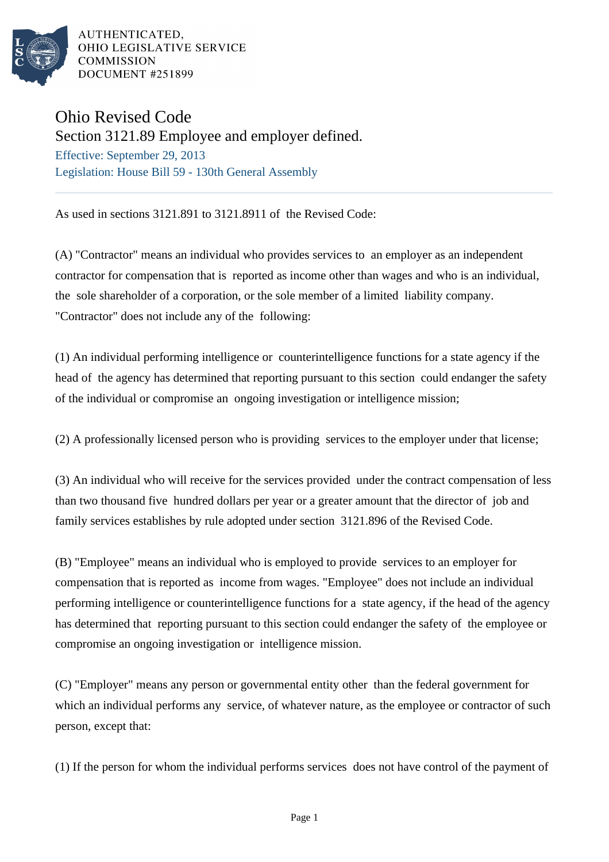

AUTHENTICATED. OHIO LEGISLATIVE SERVICE **COMMISSION DOCUMENT #251899** 

## Ohio Revised Code

Section 3121.89 Employee and employer defined.

Effective: September 29, 2013 Legislation: House Bill 59 - 130th General Assembly

As used in sections 3121.891 to 3121.8911 of the Revised Code:

(A) "Contractor" means an individual who provides services to an employer as an independent contractor for compensation that is reported as income other than wages and who is an individual, the sole shareholder of a corporation, or the sole member of a limited liability company. "Contractor" does not include any of the following:

(1) An individual performing intelligence or counterintelligence functions for a state agency if the head of the agency has determined that reporting pursuant to this section could endanger the safety of the individual or compromise an ongoing investigation or intelligence mission;

(2) A professionally licensed person who is providing services to the employer under that license;

(3) An individual who will receive for the services provided under the contract compensation of less than two thousand five hundred dollars per year or a greater amount that the director of job and family services establishes by rule adopted under section 3121.896 of the Revised Code.

(B) "Employee" means an individual who is employed to provide services to an employer for compensation that is reported as income from wages. "Employee" does not include an individual performing intelligence or counterintelligence functions for a state agency, if the head of the agency has determined that reporting pursuant to this section could endanger the safety of the employee or compromise an ongoing investigation or intelligence mission.

(C) "Employer" means any person or governmental entity other than the federal government for which an individual performs any service, of whatever nature, as the employee or contractor of such person, except that:

(1) If the person for whom the individual performs services does not have control of the payment of